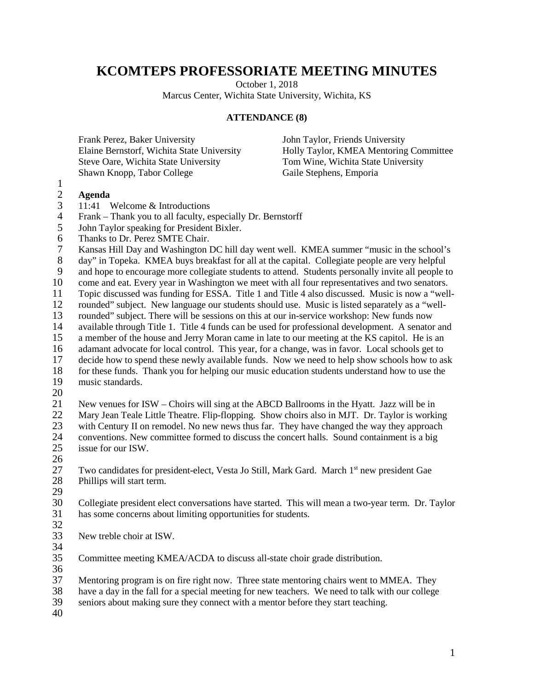## **KCOMTEPS PROFESSORIATE MEETING MINUTES**

October 1, 2018

Marcus Center, Wichita State University, Wichita, KS

## **ATTENDANCE (8)**

Frank Perez, Baker University Elaine Bernstorf, Wichita State University Steve Oare, Wichita State University Shawn Knopp, Tabor College

John Taylor, Friends University Holly Taylor, KMEA Mentoring Committee Tom Wine, Wichita State University Gaile Stephens, Emporia

## 2 **Agenda**

1

- 3 11:41 Welcome & Introductions<br>4 Frank Thank you to all faculty, ex-
- 4 Frank Thank you to all faculty, especially Dr. Bernstorff<br>5 John Taylor speaking for President Bixler.
- 5 John Taylor speaking for President Bixler.
- 6 Thanks to Dr. Perez SMTE Chair.<br>7 Kansas Hill Day and Washington I

Kansas Hill Day and Washington DC hill day went well. KMEA summer "music in the school's

8 day" in Topeka. KMEA buys breakfast for all at the capital. Collegiate people are very helpful<br>9 and hope to encourage more collegiate students to attend. Students personally invite all people to

9 and hope to encourage more collegiate students to attend. Students personally invite all people to come and eat. Every vear in Washington we meet with all four representatives and two senators. come and eat. Every year in Washington we meet with all four representatives and two senators.

11 Topic discussed was funding for ESSA. Title 1 and Title 4 also discussed. Music is now a "well-<br>12 rounded" subject. New language our students should use. Music is listed separately as a "wellrounded" subject. New language our students should use. Music is listed separately as a "well-

13 rounded" subject. There will be sessions on this at our in-service workshop: New funds now<br>14 available through Title 1. Title 4 funds can be used for professional development. A senator

- 14 available through Title 1. Title 4 funds can be used for professional development. A senator and 15 a member of the house and Jerry Moran came in late to our meeting at the KS capitol. He is an a member of the house and Jerry Moran came in late to our meeting at the KS capitol. He is an
- 16 adamant advocate for local control. This year, for a change, was in favor. Local schools get to decide how to spend these newly available funds. Now we need to help show schools how to as
- decide how to spend these newly available funds. Now we need to help show schools how to ask
- 18 for these funds. Thank you for helping our music education students understand how to use the music standards. music standards.
- 20

21 New venues for ISW – Choirs will sing at the ABCD Ballrooms in the Hyatt. Jazz will be in 22 Mary Jean Teale Little Theatre. Flip-flopping. Show choirs also in MJT. Dr. Taylor is working 23 with Century II on remodel. No new news thus far. They have changed the way they approach<br>24 conventions. New committee formed to discuss the concert halls. Sound containment is a big 24 conventions. New committee formed to discuss the concert halls. Sound containment is a big issue for our ISW. issue for our ISW.

 $\frac{26}{27}$ 

27 Two candidates for president-elect, Vesta Jo Still, Mark Gard. March 1<sup>st</sup> new president Gae<br>28 Phillips will start term. Phillips will start term.

29<br>30

30 Collegiate president elect conversations have started. This will mean a two-year term. Dr. Taylor has some concerns about limiting opportunities for students. has some concerns about limiting opportunities for students.

- 32
- 33 New treble choir at ISW.
- $\frac{34}{35}$

Committee meeting KMEA/ACDA to discuss all-state choir grade distribution.

 $\frac{36}{37}$ Mentoring program is on fire right now. Three state mentoring chairs went to MMEA. They

38 have a day in the fall for a special meeting for new teachers. We need to talk with our college<br>39 seniors about making sure they connect with a mentor before they start teaching.

seniors about making sure they connect with a mentor before they start teaching.

40